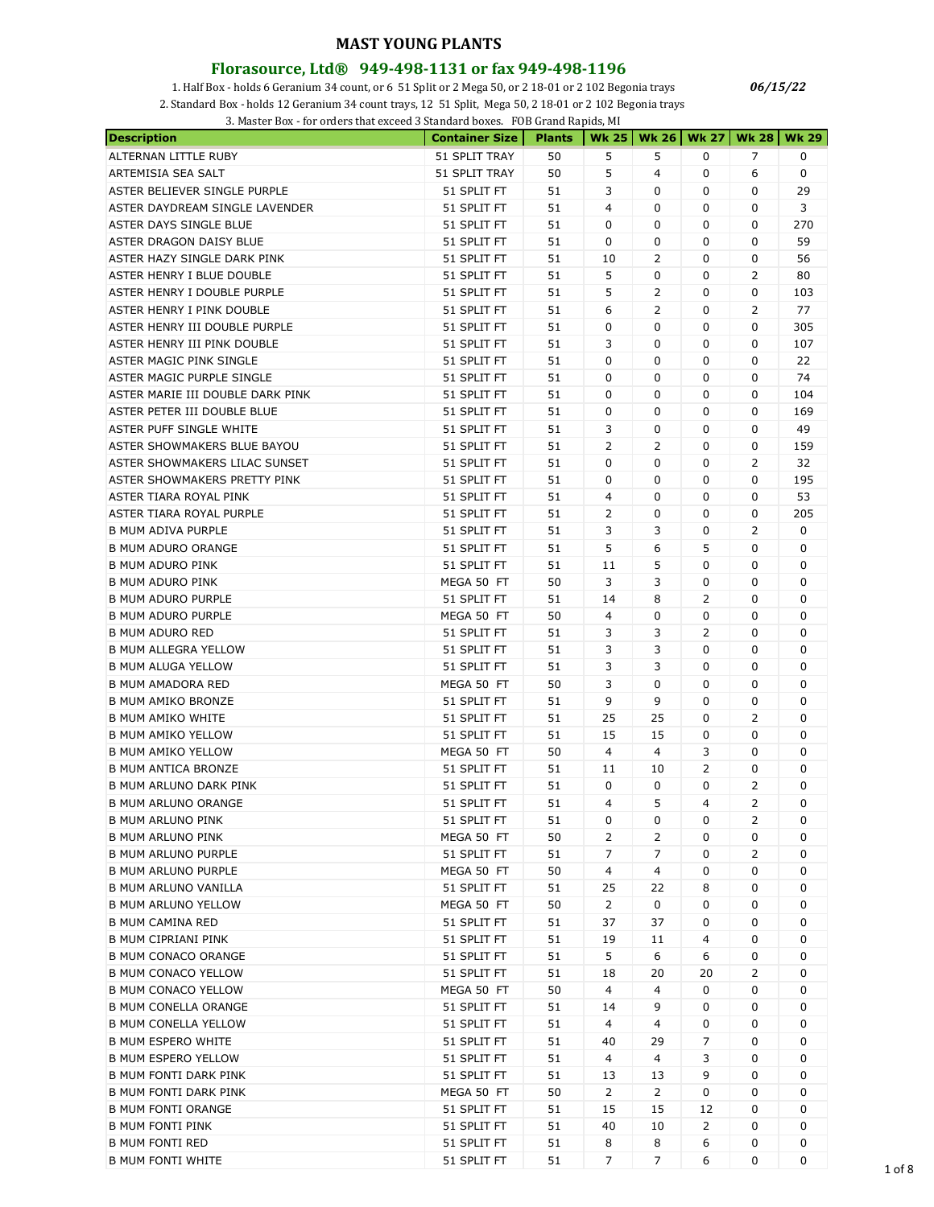#### **Florasource, Ltd® 949-498-1131 or fax 949-498-1196**

1. Half Box - holds 6 Geranium 34 count, or 6 51 Split or 2 Mega 50, or 2 18-01 or 2 102 Begonia trays

2. Standard Box - holds 12 Geranium 34 count trays, 12 51 Split, Mega 50, 2 18-01 or 2 102 Begonia trays

3. Master Box - for orders that exceed 3 Standard boxes. FOB Grand Rapids, MI

| <b>Description</b>                                     | <b>Container Size</b>      | <b>Plants</b> |                |                      |    | Wk 25   Wk 26   Wk 27   Wk 28   Wk 29 |     |
|--------------------------------------------------------|----------------------------|---------------|----------------|----------------------|----|---------------------------------------|-----|
| ALTERNAN LITTLE RUBY                                   | 51 SPLIT TRAY              | 50            | 5              | 5                    | 0  | 7                                     | 0   |
| ARTEMISIA SEA SALT                                     | 51 SPLIT TRAY              | 50            | 5              | 4                    | 0  | 6                                     | 0   |
| ASTER BELIEVER SINGLE PURPLE                           | 51 SPLIT FT                | 51            | 3              | 0                    | 0  | 0                                     | 29  |
| ASTER DAYDREAM SINGLE LAVENDER                         | 51 SPLIT FT                | 51            | $\overline{4}$ | 0                    | 0  | 0                                     | 3   |
| ASTER DAYS SINGLE BLUE                                 | 51 SPLIT FT                | 51            | 0              | 0                    | 0  | 0                                     | 270 |
| ASTER DRAGON DAISY BLUE                                | 51 SPLIT FT                | 51            | 0              | 0                    | 0  | 0                                     | 59  |
| ASTER HAZY SINGLE DARK PINK                            | 51 SPLIT FT                | 51            | 10             | 2                    | 0  | 0                                     | 56  |
| ASTER HENRY I BLUE DOUBLE                              | 51 SPLIT FT                | 51            | 5              | 0                    | 0  | 2                                     | 80  |
| ASTER HENRY I DOUBLE PURPLE                            | 51 SPLIT FT                | 51            | 5              | 2                    | 0  | 0                                     | 103 |
| ASTER HENRY I PINK DOUBLE                              | 51 SPLIT FT                | 51            | 6              | 2                    | 0  | 2                                     | 77  |
| ASTER HENRY III DOUBLE PURPLE                          | 51 SPLIT FT                | 51            | 0              | 0                    | 0  | 0                                     | 305 |
| ASTER HENRY III PINK DOUBLE                            | 51 SPLIT FT                | 51            | 3              | 0                    | 0  | 0                                     | 107 |
| ASTER MAGIC PINK SINGLE                                | 51 SPLIT FT                | 51            | 0              | 0                    | 0  | 0                                     | 22  |
| ASTER MAGIC PURPLE SINGLE                              | 51 SPLIT FT                | 51            | 0              | 0                    | 0  | 0                                     | 74  |
| ASTER MARIE III DOUBLE DARK PINK                       | 51 SPLIT FT                | 51            | 0              | 0                    | 0  | 0                                     | 104 |
| ASTER PETER III DOUBLE BLUE                            | 51 SPLIT FT                | 51            | 0              | 0                    | 0  | 0                                     | 169 |
| ASTER PUFF SINGLE WHITE                                | 51 SPLIT FT                | 51            | 3              | 0                    | 0  | 0                                     | 49  |
| ASTER SHOWMAKERS BLUE BAYOU                            | 51 SPLIT FT                | 51            | 2              | 2                    | 0  | 0                                     | 159 |
| ASTER SHOWMAKERS LILAC SUNSET                          | 51 SPLIT FT                | 51            | 0              | 0                    | 0  | $\overline{2}$                        | 32  |
| ASTER SHOWMAKERS PRETTY PINK                           | 51 SPLIT FT                | 51            | 0              | 0                    | 0  | 0                                     | 195 |
| ASTER TIARA ROYAL PINK                                 | 51 SPLIT FT                | 51            | 4              | 0                    | 0  | 0                                     | 53  |
| ASTER TIARA ROYAL PURPLE                               | 51 SPLIT FT                | 51            | 2              | 0                    | 0  | 0                                     | 205 |
| <b>B MUM ADIVA PURPLE</b>                              | 51 SPLIT FT                | 51            | 3              | 3                    | 0  | 2                                     | 0   |
| <b>B MUM ADURO ORANGE</b>                              | 51 SPLIT FT                | 51            | 5              | 6                    | 5  | 0                                     | 0   |
| <b>B MUM ADURO PINK</b>                                | 51 SPLIT FT                | 51            | 11             | 5                    | 0  | 0                                     | 0   |
| <b>B MUM ADURO PINK</b>                                | MEGA 50 FT                 | 50            | 3              | 3                    | 0  | 0                                     | 0   |
| <b>B MUM ADURO PURPLE</b>                              | 51 SPLIT FT                | 51            | 14             | 8                    | 2  | 0                                     | 0   |
| <b>B MUM ADURO PURPLE</b>                              | MEGA 50 FT                 | 50            | 4              | 0                    | 0  | 0                                     | 0   |
| <b>B MUM ADURO RED</b>                                 | 51 SPLIT FT                | 51            | 3              | 3                    | 2  | 0                                     | 0   |
| <b>B MUM ALLEGRA YELLOW</b>                            | 51 SPLIT FT                | 51            | 3              | 3                    | 0  | 0                                     | 0   |
| <b>B MUM ALUGA YELLOW</b>                              | 51 SPLIT FT                | 51            | 3              | 3                    | 0  | 0                                     | 0   |
| <b>B MUM AMADORA RED</b>                               | MEGA 50 FT                 | 50            | 3              | 0                    | 0  | 0                                     | 0   |
| <b>B MUM AMIKO BRONZE</b>                              |                            | 51            | 9              | 9                    | 0  | 0                                     | 0   |
|                                                        | 51 SPLIT FT                |               |                |                      | 0  | 2                                     | 0   |
| <b>B MUM AMIKO WHITE</b>                               | 51 SPLIT FT                | 51            | 25             | 25                   |    | 0                                     | 0   |
| <b>B MUM AMIKO YELLOW</b><br><b>B MUM AMIKO YELLOW</b> | 51 SPLIT FT                | 51            | 15<br>4        | 15<br>$\overline{4}$ | 0  |                                       |     |
|                                                        | MEGA 50 FT                 | 50            |                |                      | 3  | 0                                     | 0   |
| <b>B MUM ANTICA BRONZE</b>                             | 51 SPLIT FT                | 51            | 11             | 10                   | 2  | 0                                     | 0   |
| B MUM ARLUNO DARK PINK                                 | 51 SPLIT FT<br>51 SPLIT FT | 51            | 0              | 0<br>5               | 0  | 2<br>$\overline{2}$                   | 0   |
| <b>B MUM ARLUNO ORANGE</b>                             |                            | 51            | 4              |                      | 4  |                                       | 0   |
| <b>B MUM ARLUNO PINK</b>                               | 51 SPLIT FT                | 51            | 0              | 0                    | 0  | 2                                     | 0   |
| <b>B MUM ARLUNO PINK</b>                               | MEGA 50 FT                 | 50            | 2              | 2                    | 0  | 0                                     | 0   |
| <b>B MUM ARLUNO PURPLE</b>                             | 51 SPLIT FT                | 51            | 7              | 7                    | 0  | 2                                     | 0   |
| <b>B MUM ARLUNO PURPLE</b>                             | MEGA 50 FT                 | 50            | 4              | 4                    | 0  | 0                                     | 0   |
| <b>B MUM ARLUNO VANILLA</b>                            | 51 SPLIT FT                | 51            | 25             | 22                   | 8  | 0                                     | 0   |
| <b>B MUM ARLUNO YELLOW</b>                             | MEGA 50 FT                 | 50            | $\overline{2}$ | 0                    | 0  | 0                                     | 0   |
| <b>B MUM CAMINA RED</b>                                | 51 SPLIT FT                | 51            | 37             | 37                   | 0  | 0                                     | 0   |
| <b>B MUM CIPRIANI PINK</b>                             | 51 SPLIT FT                | 51            | 19             | 11                   | 4  | 0                                     | 0   |
| <b>B MUM CONACO ORANGE</b>                             | 51 SPLIT FT                | 51            | 5              | 6                    | 6  | 0                                     | 0   |
| <b>B MUM CONACO YELLOW</b>                             | 51 SPLIT FT                | 51            | 18             | 20                   | 20 | 2                                     | 0   |
| <b>B MUM CONACO YELLOW</b>                             | MEGA 50 FT                 | 50            | 4              | 4                    | 0  | 0                                     | 0   |
| <b>B MUM CONELLA ORANGE</b>                            | 51 SPLIT FT                | 51            | 14             | 9                    | 0  | 0                                     | 0   |
| <b>B MUM CONELLA YELLOW</b>                            | 51 SPLIT FT                | 51            | 4              | 4                    | 0  | 0                                     | 0   |
| <b>B MUM ESPERO WHITE</b>                              | 51 SPLIT FT                | 51            | 40             | 29                   | 7  | 0                                     | 0   |
| <b>B MUM ESPERO YELLOW</b>                             | 51 SPLIT FT                | 51            | 4              | 4                    | 3  | 0                                     | 0   |
| <b>B MUM FONTI DARK PINK</b>                           | 51 SPLIT FT                | 51            | 13             | 13                   | 9  | 0                                     | 0   |
| <b>B MUM FONTI DARK PINK</b>                           | MEGA 50 FT                 | 50            | 2              | 2                    | 0  | 0                                     | 0   |
| <b>B MUM FONTI ORANGE</b>                              | 51 SPLIT FT                | 51            | 15             | 15                   | 12 | 0                                     | 0   |
| <b>B MUM FONTI PINK</b>                                | 51 SPLIT FT                | 51            | 40             | 10                   | 2  | 0                                     | 0   |
| <b>B MUM FONTI RED</b>                                 | 51 SPLIT FT                | 51            | 8              | 8                    | 6  | 0                                     | 0   |
| <b>B MUM FONTI WHITE</b>                               | 51 SPLIT FT                | 51            | $\overline{7}$ | $\overline{7}$       | 6  | 0                                     | 0   |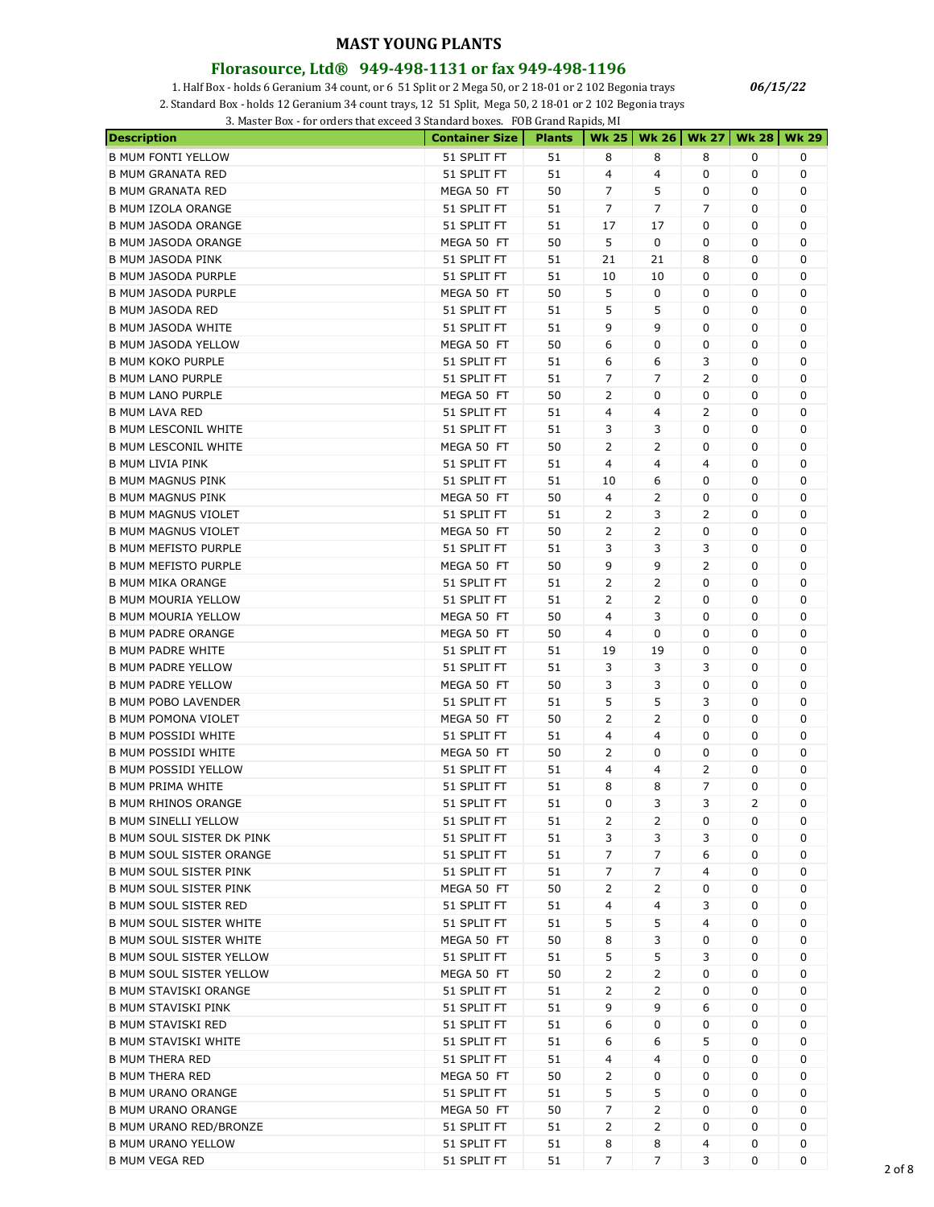#### **Florasource, Ltd® 949-498-1131 or fax 949-498-1196**

1. Half Box - holds 6 Geranium 34 count, or 6 51 Split or 2 Mega 50, or 2 18-01 or 2 102 Begonia trays

2. Standard Box - holds 12 Geranium 34 count trays, 12 51 Split, Mega 50, 2 18-01 or 2 102 Begonia trays

3. Master Box - for orders that exceed 3 Standard boxes. FOB Grand Rapids, MI

| <b>Description</b>              | <b>Container Size</b>     | <b>Plants</b> |                |                |                | Wk 25   Wk 26   Wk 27   Wk 28   Wk 29 |   |
|---------------------------------|---------------------------|---------------|----------------|----------------|----------------|---------------------------------------|---|
| <b>B MUM FONTI YELLOW</b>       | 51 SPLIT FT               | 51            | 8              | 8              | 8              | 0                                     | 0 |
| <b>B MUM GRANATA RED</b>        | 51 SPLIT FT               | 51            | 4              | 4              | 0              | 0                                     | 0 |
| <b>B MUM GRANATA RED</b>        | MEGA 50 FT                | 50            | 7              | 5              | 0              | 0                                     | 0 |
| <b>B MUM IZOLA ORANGE</b>       | 51 SPLIT FT               | 51            | $\overline{7}$ | 7              | $\overline{7}$ | 0                                     | 0 |
| <b>B MUM JASODA ORANGE</b>      | 51 SPLIT FT               | 51            | 17             | 17             | 0              | 0                                     | 0 |
| <b>B MUM JASODA ORANGE</b>      | MEGA 50 FT                | 50            | 5              | 0              | 0              | 0                                     | 0 |
| <b>B MUM JASODA PINK</b>        | 51 SPLIT FT               | 51            | 21             | 21             | 8              | 0                                     | 0 |
| <b>B MUM JASODA PURPLE</b>      | 51 SPLIT FT               | 51            | 10             | 10             | 0              | 0                                     | 0 |
| <b>B MUM JASODA PURPLE</b>      | MEGA 50 FT                | 50            | 5              | 0              | 0              | 0                                     | 0 |
| <b>B MUM JASODA RED</b>         | 51 SPLIT FT               | 51            | 5              | 5              | 0              | 0                                     | 0 |
| <b>B MUM JASODA WHITE</b>       | 51 SPLIT FT               | 51            | 9              | 9              | 0              | 0                                     | 0 |
| <b>B MUM JASODA YELLOW</b>      | MEGA 50 FT                | 50            | 6              | 0              | 0              | 0                                     | 0 |
| <b>B MUM KOKO PURPLE</b>        | 51 SPLIT FT               | 51            | 6              | 6              | 3              | 0                                     | 0 |
| <b>B MUM LANO PURPLE</b>        | 51 SPLIT FT               | 51            | 7              | 7              | 2              | 0                                     | 0 |
| <b>B MUM LANO PURPLE</b>        | MEGA 50 FT                | 50            | 2              | 0              | 0              | 0                                     | 0 |
| <b>B MUM LAVA RED</b>           | 51 SPLIT FT               | 51            | 4              | 4              | 2              | 0                                     | 0 |
| <b>B MUM LESCONIL WHITE</b>     | 51 SPLIT FT               | 51            | 3              | 3              | 0              | 0                                     | 0 |
| <b>B MUM LESCONIL WHITE</b>     | MEGA 50 FT                | 50            | 2              | 2              | 0              | 0                                     | 0 |
| <b>B MUM LIVIA PINK</b>         | 51 SPLIT FT               | 51            | 4              | 4              | 4              | 0                                     | 0 |
| <b>B MUM MAGNUS PINK</b>        | 51 SPLIT FT               | 51            | 10             | 6              | 0              | 0                                     | 0 |
| <b>B MUM MAGNUS PINK</b>        | MEGA 50 FT                | 50            | $\overline{4}$ | 2              | 0              | 0                                     | 0 |
| <b>B MUM MAGNUS VIOLET</b>      | 51 SPLIT FT               | 51            | 2              | 3              | 2              | 0                                     | 0 |
| <b>B MUM MAGNUS VIOLET</b>      | MEGA 50 FT                | 50            | 2              | 2              | 0              | 0                                     | 0 |
| <b>B MUM MEFISTO PURPLE</b>     | 51 SPLIT FT               | 51            | 3              | 3              | 3              | 0                                     | 0 |
| <b>B MUM MEFISTO PURPLE</b>     | MEGA 50 FT                | 50            | 9              | 9              | 2              | 0                                     | 0 |
| <b>B MUM MIKA ORANGE</b>        | 51 SPLIT FT               | 51            | 2              | 2              | 0              | 0                                     | 0 |
| <b>B MUM MOURIA YELLOW</b>      | 51 SPLIT FT               | 51            | 2              | 2              | 0              | 0                                     | 0 |
| <b>B MUM MOURIA YELLOW</b>      | MEGA 50 FT                | 50            | $\overline{4}$ | 3              | 0              | 0                                     | 0 |
| <b>B MUM PADRE ORANGE</b>       |                           | 50            | 4              | 0              | 0              | 0                                     | 0 |
| <b>B MUM PADRE WHITE</b>        | MEGA 50 FT<br>51 SPLIT FT | 51            | 19             | 19             | 0              | 0                                     | 0 |
|                                 |                           |               | 3              | 3              | 3              |                                       |   |
| <b>B MUM PADRE YELLOW</b>       | 51 SPLIT FT               | 51            |                |                |                | 0                                     | 0 |
| <b>B MUM PADRE YELLOW</b>       | MEGA 50 FT                | 50            | 3              | 3              | 0              | 0                                     | 0 |
| <b>B MUM POBO LAVENDER</b>      | 51 SPLIT FT               | 51            | 5              | 5              | 3              | 0                                     | 0 |
| <b>B MUM POMONA VIOLET</b>      | MEGA 50 FT                | 50            | 2              | 2              | 0              | 0                                     | 0 |
| <b>B MUM POSSIDI WHITE</b>      | 51 SPLIT FT               | 51            | 4              | 4              | 0              | 0                                     | 0 |
| <b>B MUM POSSIDI WHITE</b>      | MEGA 50 FT                | 50            | 2              | 0              | 0              | 0                                     | 0 |
| <b>B MUM POSSIDI YELLOW</b>     | 51 SPLIT FT               | 51            | 4              | 4              | 2              | 0                                     | 0 |
| <b>B MUM PRIMA WHITE</b>        | 51 SPLIT FT               | 51            | 8              | 8              | 7              | 0                                     | 0 |
| <b>B MUM RHINOS ORANGE</b>      | 51 SPLIT FT               | 51            | 0              | 3              | 3              | $\overline{2}$                        | 0 |
| <b>B MUM SINELLI YELLOW</b>     | 51 SPLIT FT               | 51            | $\overline{2}$ | $\overline{2}$ | 0              | 0                                     | 0 |
| B MUM SOUL SISTER DK PINK       | 51 SPLIT FT               | 51            | 3              | 3              | 3              | 0                                     | 0 |
| <b>B MUM SOUL SISTER ORANGE</b> | 51 SPLIT FT               | 51            | 7              | 7              | 6              | 0                                     | 0 |
| <b>B MUM SOUL SISTER PINK</b>   | 51 SPLIT FT               | 51            | 7              | 7              | 4              | 0                                     | 0 |
| <b>B MUM SOUL SISTER PINK</b>   | MEGA 50 FT                | 50            | 2              | 2              | 0              | 0                                     | 0 |
| <b>B MUM SOUL SISTER RED</b>    | 51 SPLIT FT               | 51            | 4              | 4              | 3              | 0                                     | 0 |
| <b>B MUM SOUL SISTER WHITE</b>  | 51 SPLIT FT               | 51            | 5              | 5              | 4              | 0                                     | 0 |
| <b>B MUM SOUL SISTER WHITE</b>  | MEGA 50 FT                | 50            | 8              | 3              | 0              | 0                                     | 0 |
| <b>B MUM SOUL SISTER YELLOW</b> | 51 SPLIT FT               | 51            | 5              | 5              | 3              | 0                                     | 0 |
| <b>B MUM SOUL SISTER YELLOW</b> | MEGA 50 FT                | 50            | 2              | 2              | 0              | 0                                     | 0 |
| <b>B MUM STAVISKI ORANGE</b>    | 51 SPLIT FT               | 51            | 2              | 2              | 0              | 0                                     | 0 |
| <b>B MUM STAVISKI PINK</b>      | 51 SPLIT FT               | 51            | 9              | 9              | 6              | 0                                     | 0 |
| <b>B MUM STAVISKI RED</b>       | 51 SPLIT FT               | 51            | 6              | 0              | 0              | 0                                     | 0 |
| <b>B MUM STAVISKI WHITE</b>     | 51 SPLIT FT               | 51            | 6              | 6              | 5              | 0                                     | 0 |
| <b>B MUM THERA RED</b>          | 51 SPLIT FT               | 51            | 4              | 4              | 0              | 0                                     | 0 |
| <b>B MUM THERA RED</b>          | MEGA 50 FT                | 50            | 2              | 0              | 0              | 0                                     | 0 |
| <b>B MUM URANO ORANGE</b>       | 51 SPLIT FT               | 51            | 5              | 5              | 0              | 0                                     | 0 |
| <b>B MUM URANO ORANGE</b>       | MEGA 50 FT                | 50            | 7              | 2              | 0              | 0                                     | 0 |
| B MUM URANO RED/BRONZE          | 51 SPLIT FT               | 51            | 2              | 2              | 0              | 0                                     | 0 |
| <b>B MUM URANO YELLOW</b>       | 51 SPLIT FT               | 51            | 8              | 8              | 4              | 0                                     | 0 |
| <b>B MUM VEGA RED</b>           | 51 SPLIT FT               | 51            | $\overline{7}$ | $\overline{7}$ | 3              | 0                                     | 0 |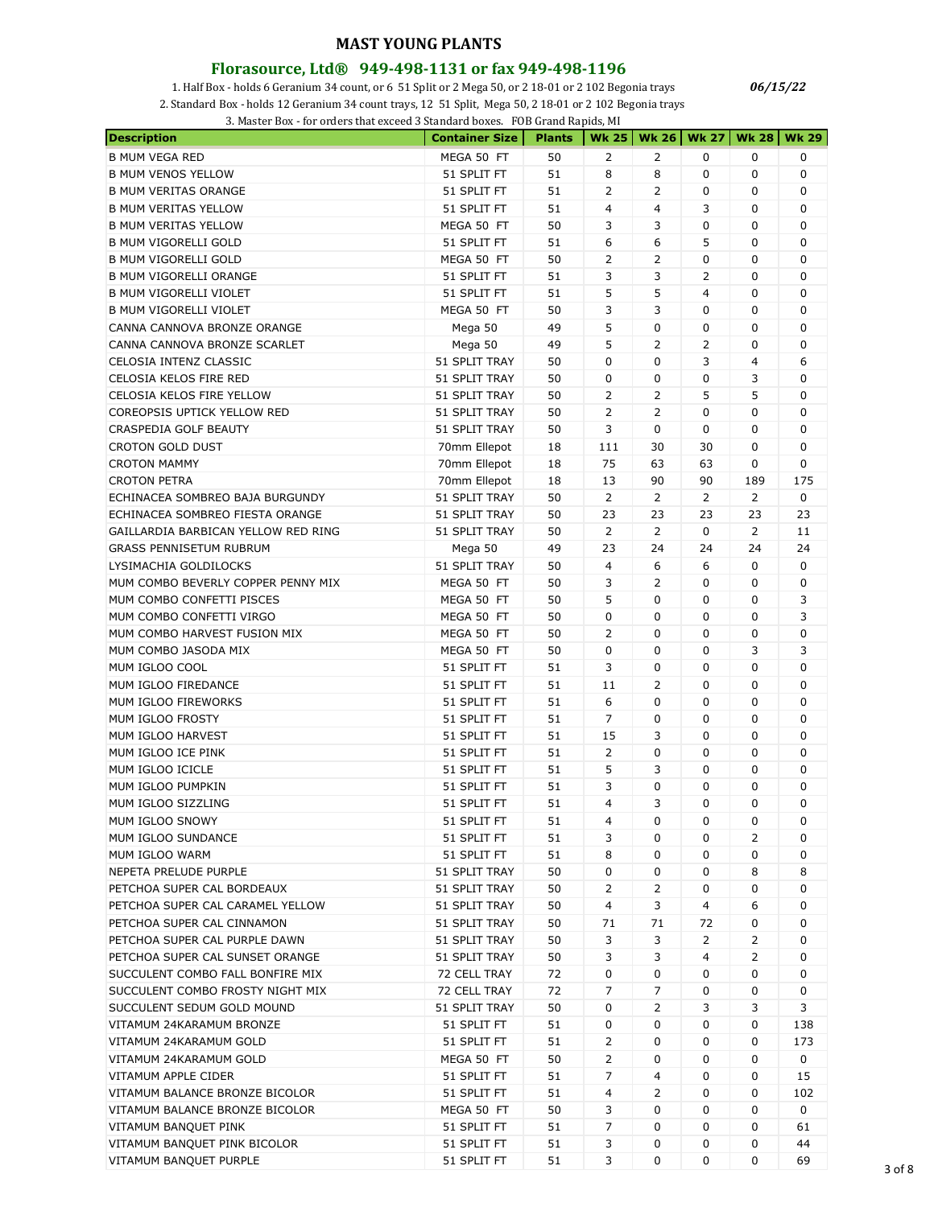# **Florasource, Ltd® 949-498-1131 or fax 949-498-1196**

1. Half Box - holds 6 Geranium 34 count, or 6 51 Split or 2 Mega 50, or 2 18-01 or 2 102 Begonia trays

2. Standard Box - holds 12 Geranium 34 count trays, 12 51 Split, Mega 50, 2 18-01 or 2 102 Begonia trays

| <b>Description</b>                  | <b>Container Size</b> | <b>Plants</b> |                |                |                | Wk 25   Wk 26   Wk 27   Wk 28   Wk 29 |     |
|-------------------------------------|-----------------------|---------------|----------------|----------------|----------------|---------------------------------------|-----|
| <b>B MUM VEGA RED</b>               | MEGA 50 FT            | 50            | 2              | $\overline{2}$ | 0              | 0                                     | 0   |
| <b>B MUM VENOS YELLOW</b>           | 51 SPLIT FT           | 51            | 8              | 8              | 0              | 0                                     | 0   |
| <b>B MUM VERITAS ORANGE</b>         | 51 SPLIT FT           | 51            | $\overline{2}$ | 2              | 0              | 0                                     | 0   |
| <b>B MUM VERITAS YELLOW</b>         | 51 SPLIT FT           | 51            | 4              | 4              | 3              | 0                                     | 0   |
| <b>B MUM VERITAS YELLOW</b>         | MEGA 50 FT            | 50            | 3              | 3              | 0              | 0                                     | 0   |
| <b>B MUM VIGORELLI GOLD</b>         | 51 SPLIT FT           | 51            | 6              | 6              | 5              | 0                                     | 0   |
| <b>B MUM VIGORELLI GOLD</b>         | MEGA 50 FT            | 50            | 2              | 2              | 0              | 0                                     | 0   |
| <b>B MUM VIGORELLI ORANGE</b>       | 51 SPLIT FT           | 51            | 3              | 3              | 2              | 0                                     | 0   |
| <b>B MUM VIGORELLI VIOLET</b>       | 51 SPLIT FT           | 51            | 5              | 5              | 4              | 0                                     | 0   |
| <b>B MUM VIGORELLI VIOLET</b>       | MEGA 50 FT            | 50            | 3              | 3              | 0              | 0                                     | 0   |
| CANNA CANNOVA BRONZE ORANGE         | Mega 50               | 49            | 5              | 0              | 0              | 0                                     | 0   |
| CANNA CANNOVA BRONZE SCARLET        | Mega 50               | 49            | 5              | 2              | 2              | 0                                     | 0   |
| CELOSIA INTENZ CLASSIC              | 51 SPLIT TRAY         | 50            | 0              | 0              | 3              | 4                                     | 6   |
| CELOSIA KELOS FIRE RED              | 51 SPLIT TRAY         | 50            | 0              | 0              | 0              | 3                                     | 0   |
| CELOSIA KELOS FIRE YELLOW           | 51 SPLIT TRAY         | 50            | 2              | 2              | 5              | 5                                     | 0   |
| COREOPSIS UPTICK YELLOW RED         | 51 SPLIT TRAY         | 50            | $\overline{2}$ | $\overline{2}$ | 0              | 0                                     | 0   |
| CRASPEDIA GOLF BEAUTY               | 51 SPLIT TRAY         | 50            | 3              | 0              | 0              | 0                                     | 0   |
| <b>CROTON GOLD DUST</b>             | 70mm Ellepot          | 18            | 111            | 30             | 30             | 0                                     | 0   |
| <b>CROTON MAMMY</b>                 | 70mm Ellepot          | 18            | 75             | 63             | 63             | 0                                     | 0   |
|                                     |                       |               | 13             | 90             | 90             |                                       | 175 |
| <b>CROTON PETRA</b>                 | 70mm Ellepot          | 18            |                |                |                | 189                                   |     |
| ECHINACEA SOMBREO BAJA BURGUNDY     | 51 SPLIT TRAY         | 50            | $\overline{2}$ | $\overline{2}$ | $\overline{2}$ | $\overline{2}$                        | 0   |
| ECHINACEA SOMBREO FIESTA ORANGE     | 51 SPLIT TRAY         | 50            | 23             | 23             | 23             | 23                                    | 23  |
| GAILLARDIA BARBICAN YELLOW RED RING | 51 SPLIT TRAY         | 50            | $\overline{2}$ | 2              | 0              | 2                                     | 11  |
| <b>GRASS PENNISETUM RUBRUM</b>      | Mega 50               | 49            | 23             | 24             | 24             | 24                                    | 24  |
| LYSIMACHIA GOLDILOCKS               | 51 SPLIT TRAY         | 50            | 4              | 6              | 6              | 0                                     | 0   |
| MUM COMBO BEVERLY COPPER PENNY MIX  | MEGA 50 FT            | 50            | 3              | 2              | 0              | 0                                     | 0   |
| MUM COMBO CONFETTI PISCES           | MEGA 50 FT            | 50            | 5              | 0              | 0              | 0                                     | 3   |
| MUM COMBO CONFETTI VIRGO            | MEGA 50 FT            | 50            | 0              | 0              | 0              | 0                                     | 3   |
| MUM COMBO HARVEST FUSION MIX        | MEGA 50 FT            | 50            | 2              | 0              | 0              | 0                                     | 0   |
| MUM COMBO JASODA MIX                | MEGA 50 FT            | 50            | 0              | 0              | 0              | 3                                     | 3   |
| MUM IGLOO COOL                      | 51 SPLIT FT           | 51            | 3              | 0              | 0              | 0                                     | 0   |
| MUM IGLOO FIREDANCE                 | 51 SPLIT FT           | 51            | 11             | $\overline{2}$ | 0              | 0                                     | 0   |
| MUM IGLOO FIREWORKS                 | 51 SPLIT FT           | 51            | 6              | 0              | 0              | 0                                     | 0   |
| MUM IGLOO FROSTY                    | 51 SPLIT FT           | 51            | 7              | 0              | 0              | 0                                     | 0   |
| MUM IGLOO HARVEST                   | 51 SPLIT FT           | 51            | 15             | 3              | 0              | 0                                     | 0   |
| MUM IGLOO ICE PINK                  | 51 SPLIT FT           | 51            | $\overline{2}$ | 0              | 0              | 0                                     | 0   |
| MUM IGLOO ICICLE                    | 51 SPLIT FT           | 51            | 5              | 3              | 0              | 0                                     | 0   |
| MUM IGLOO PUMPKIN                   | 51 SPLIT FT           | 51            | 3              | 0              | 0              | 0                                     | 0   |
| MUM IGLOO SIZZLING                  | 51 SPLIT FT           | 51            | $\overline{4}$ | 3              | 0              | 0                                     | 0   |
| MUM IGLOO SNOWY                     | 51 SPLIT FT           | 51            | 4              | 0              | 0              | 0                                     | 0   |
| MUM IGLOO SUNDANCE                  | 51 SPLIT FT           | 51            | 3              | 0              | 0              | 2                                     | 0   |
| MUM IGLOO WARM                      | 51 SPLIT FT           | 51            | 8              | 0              | 0              | 0                                     | 0   |
| NEPETA PRELUDE PURPLE               | 51 SPLIT TRAY         | 50            | 0              | 0              | 0              | 8                                     | 8   |
| PETCHOA SUPER CAL BORDEAUX          | 51 SPLIT TRAY         | 50            | 2              | 2              | 0              | 0                                     | 0   |
| PETCHOA SUPER CAL CARAMEL YELLOW    | 51 SPLIT TRAY         | 50            | 4              | 3              | 4              | 6                                     | 0   |
| PETCHOA SUPER CAL CINNAMON          | 51 SPLIT TRAY         | 50            | 71             | 71             | 72             | 0                                     | 0   |
| PETCHOA SUPER CAL PURPLE DAWN       | 51 SPLIT TRAY         | 50            | 3              | 3              | 2              | $\overline{2}$                        | 0   |
| PETCHOA SUPER CAL SUNSET ORANGE     | 51 SPLIT TRAY         | 50            | 3              | 3              | 4              | 2                                     | 0   |
| SUCCULENT COMBO FALL BONFIRE MIX    | 72 CELL TRAY          | 72            | 0              | 0              | 0              | 0                                     | 0   |
| SUCCULENT COMBO FROSTY NIGHT MIX    | 72 CELL TRAY          | 72            | 7              | 7              | 0              | 0                                     | 0   |
| SUCCULENT SEDUM GOLD MOUND          | 51 SPLIT TRAY         | 50            | 0              | 2              | 3              | 3                                     | 3   |
| VITAMUM 24KARAMUM BRONZE            | 51 SPLIT FT           | 51            | 0              | 0              | 0              | 0                                     | 138 |
|                                     |                       |               |                | 0              | 0              | 0                                     |     |
| VITAMUM 24KARAMUM GOLD              | 51 SPLIT FT           | 51            | $\overline{2}$ |                |                |                                       | 173 |
| VITAMUM 24KARAMUM GOLD              | MEGA 50 FT            | 50            | $\overline{2}$ | 0              | 0              | 0                                     | 0   |
| VITAMUM APPLE CIDER                 | 51 SPLIT FT           | 51            | 7              | 4              | 0              | 0                                     | 15  |
| VITAMUM BALANCE BRONZE BICOLOR      | 51 SPLIT FT           | 51            | 4              | 2              | 0              | 0                                     | 102 |
| VITAMUM BALANCE BRONZE BICOLOR      | MEGA 50 FT            | 50            | 3              | 0              | 0              | 0                                     | 0   |
| VITAMUM BANQUET PINK                | 51 SPLIT FT           | 51            | 7              | 0              | 0              | 0                                     | 61  |
| VITAMUM BANQUET PINK BICOLOR        | 51 SPLIT FT           | 51            | 3              | 0              | 0              | 0                                     | 44  |
| VITAMUM BANQUET PURPLE              | 51 SPLIT FT           | 51            | 3              | 0              | 0              | 0                                     | 69  |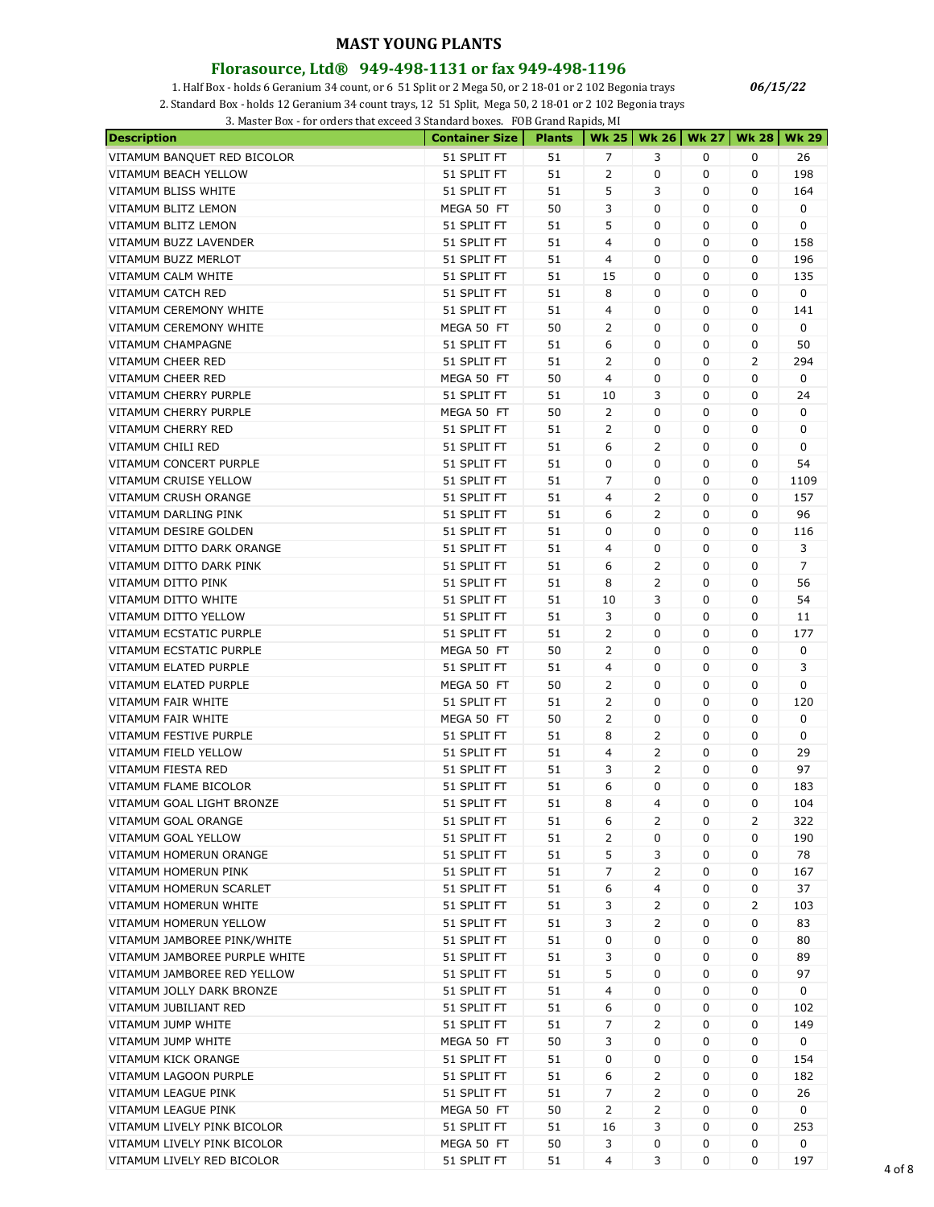#### **Florasource, Ltd® 949-498-1131 or fax 949-498-1196**

1. Half Box - holds 6 Geranium 34 count, or 6 51 Split or 2 Mega 50, or 2 18-01 or 2 102 Begonia trays

2. Standard Box - holds 12 Geranium 34 count trays, 12 51 Split, Mega 50, 2 18-01 or 2 102 Begonia trays

3. Master Box - for orders that exceed 3 Standard boxes. FOB Grand Rapids, MI

| <b>Description</b>            | <b>Container Size</b> | <b>Plants</b> |                |   |             | Wk 25   Wk 26   Wk 27   Wk 28   Wk 29 |                |
|-------------------------------|-----------------------|---------------|----------------|---|-------------|---------------------------------------|----------------|
| VITAMUM BANQUET RED BICOLOR   | 51 SPLIT FT           | 51            | 7              | 3 | 0           | 0                                     | 26             |
| VITAMUM BEACH YELLOW          | 51 SPLIT FT           | 51            | 2              | 0 | 0           | 0                                     | 198            |
| VITAMUM BLISS WHITE           | 51 SPLIT FT           | 51            | 5              | 3 | 0           | 0                                     | 164            |
| VITAMUM BLITZ LEMON           | MEGA 50 FT            | 50            | 3              | 0 | 0           | 0                                     | 0              |
| <b>VITAMUM BLITZ LEMON</b>    | 51 SPLIT FT           | 51            | 5              | 0 | $\mathbf 0$ | 0                                     | 0              |
| VITAMUM BUZZ LAVENDER         | 51 SPLIT FT           | 51            | 4              | 0 | 0           | 0                                     | 158            |
| VITAMUM BUZZ MERLOT           | 51 SPLIT FT           | 51            | 4              | 0 | 0           | 0                                     | 196            |
| VITAMUM CALM WHITE            | 51 SPLIT FT           | 51            | 15             | 0 | 0           | 0                                     | 135            |
| VITAMUM CATCH RED             | 51 SPLIT FT           | 51            | 8              | 0 | 0           | 0                                     | 0              |
| VITAMUM CEREMONY WHITE        | 51 SPLIT FT           | 51            | 4              | 0 | 0           | 0                                     | 141            |
| VITAMUM CEREMONY WHITE        | MEGA 50 FT            | 50            | 2              | 0 | 0           | 0                                     | 0              |
| <b>VITAMUM CHAMPAGNE</b>      |                       | 51            | 6              | 0 | 0           | 0                                     | 50             |
|                               | 51 SPLIT FT           |               |                |   |             |                                       |                |
| VITAMUM CHEER RED             | 51 SPLIT FT           | 51            | 2              | 0 | 0           | 2                                     | 294            |
| VITAMUM CHEER RED             | MEGA 50 FT            | 50            | 4              | 0 | 0           | 0                                     | 0              |
| VITAMUM CHERRY PURPLE         | 51 SPLIT FT           | 51            | 10             | 3 | 0           | 0                                     | 24             |
| VITAMUM CHERRY PURPLE         | MEGA 50 FT            | 50            | 2              | 0 | 0           | 0                                     | 0              |
| VITAMUM CHERRY RED            | 51 SPLIT FT           | 51            | 2              | 0 | 0           | 0                                     | 0              |
| <b>VITAMUM CHILI RED</b>      | 51 SPLIT FT           | 51            | 6              | 2 | 0           | 0                                     | 0              |
| <b>VITAMUM CONCERT PURPLE</b> | 51 SPLIT FT           | 51            | 0              | 0 | 0           | 0                                     | 54             |
| <b>VITAMUM CRUISE YELLOW</b>  | 51 SPLIT FT           | 51            | 7              | 0 | 0           | 0                                     | 1109           |
| VITAMUM CRUSH ORANGE          | 51 SPLIT FT           | 51            | 4              | 2 | 0           | 0                                     | 157            |
| VITAMUM DARLING PINK          | 51 SPLIT FT           | 51            | 6              | 2 | 0           | 0                                     | 96             |
| VITAMUM DESIRE GOLDEN         | 51 SPLIT FT           | 51            | 0              | 0 | 0           | 0                                     | 116            |
| VITAMUM DITTO DARK ORANGE     | 51 SPLIT FT           | 51            | 4              | 0 | 0           | 0                                     | 3              |
| VITAMUM DITTO DARK PINK       | 51 SPLIT FT           | 51            | 6              | 2 | 0           | 0                                     | $\overline{7}$ |
| VITAMUM DITTO PINK            | 51 SPLIT FT           | 51            | 8              | 2 | 0           | 0                                     | 56             |
| VITAMUM DITTO WHITE           | 51 SPLIT FT           | 51            | 10             | 3 | 0           | 0                                     | 54             |
| VITAMUM DITTO YELLOW          | 51 SPLIT FT           | 51            | 3              | 0 | 0           | 0                                     | 11             |
| VITAMUM ECSTATIC PURPLE       | 51 SPLIT FT           | 51            | 2              | 0 | 0           | 0                                     | 177            |
| VITAMUM ECSTATIC PURPLE       | MEGA 50 FT            | 50            | 2              | 0 | 0           | 0                                     | 0              |
| VITAMUM ELATED PURPLE         | 51 SPLIT FT           | 51            | 4              | 0 | 0           | 0                                     | 3              |
| VITAMUM ELATED PURPLE         | MEGA 50 FT            | 50            | $\overline{2}$ | 0 | 0           | 0                                     | 0              |
| VITAMUM FAIR WHITE            | 51 SPLIT FT           | 51            | $\overline{2}$ | 0 | 0           | 0                                     | 120            |
| <b>VITAMUM FAIR WHITE</b>     | MEGA 50 FT            | 50            | 2              | 0 | 0           | 0                                     | 0              |
| VITAMUM FESTIVE PURPLE        | 51 SPLIT FT           | 51            | 8              | 2 | 0           | 0                                     | 0              |
| VITAMUM FIELD YELLOW          | 51 SPLIT FT           | 51            | 4              | 2 | 0           | 0                                     | 29             |
| VITAMUM FIESTA RED            |                       | 51            |                | 2 | 0           |                                       | 97             |
|                               | 51 SPLIT FT           |               | 3              |   |             | 0                                     |                |
| VITAMUM FLAME BICOLOR         | 51 SPLIT FT           | 51            | 6              | 0 | 0           | 0                                     | 183            |
| VITAMUM GOAL LIGHT BRONZE     | 51 SPLIT FT           | 51            | 8              | 4 | 0           | 0                                     | 104            |
| VITAMUM GOAL ORANGE           | 51 SPLIT FT           | 51            | 6              | 2 | 0           | 2                                     | 322            |
| VITAMUM GOAL YELLOW           | 51 SPLIT FT           | 51            | $\overline{2}$ | 0 | 0           | 0                                     | 190            |
| VITAMUM HOMERUN ORANGE        | 51 SPLIT FT           | 51            | 5              | 3 | 0           | 0                                     | 78             |
| VITAMUM HOMERUN PINK          | 51 SPLIT FT           | 51            | 7              | 2 | 0           | 0                                     | 167            |
| VITAMUM HOMERUN SCARLET       | 51 SPLIT FT           | 51            | 6              | 4 | 0           | 0                                     | 37             |
| VITAMUM HOMERUN WHITE         | 51 SPLIT FT           | 51            | 3              | 2 | 0           | 2                                     | 103            |
| VITAMUM HOMERUN YELLOW        | 51 SPLIT FT           | 51            | 3              | 2 | 0           | 0                                     | 83             |
| VITAMUM JAMBOREE PINK/WHITE   | 51 SPLIT FT           | 51            | 0              | 0 | 0           | 0                                     | 80             |
| VITAMUM JAMBOREE PURPLE WHITE | 51 SPLIT FT           | 51            | 3              | 0 | 0           | 0                                     | 89             |
| VITAMUM JAMBOREE RED YELLOW   | 51 SPLIT FT           | 51            | 5              | 0 | 0           | 0                                     | 97             |
| VITAMUM JOLLY DARK BRONZE     | 51 SPLIT FT           | 51            | 4              | 0 | 0           | 0                                     | 0              |
| VITAMUM JUBILIANT RED         | 51 SPLIT FT           | 51            | 6              | 0 | 0           | 0                                     | 102            |
| VITAMUM JUMP WHITE            | 51 SPLIT FT           | 51            | 7              | 2 | 0           | 0                                     | 149            |
| VITAMUM JUMP WHITE            | MEGA 50 FT            | 50            | 3              | 0 | 0           | 0                                     | 0              |
| VITAMUM KICK ORANGE           | 51 SPLIT FT           | 51            | 0              | 0 | 0           | 0                                     | 154            |
| VITAMUM LAGOON PURPLE         | 51 SPLIT FT           | 51            | 6              | 2 | 0           | 0                                     | 182            |
| VITAMUM LEAGUE PINK           | 51 SPLIT FT           | 51            | $\overline{7}$ | 2 | 0           | 0                                     | 26             |
| VITAMUM LEAGUE PINK           | MEGA 50 FT            | 50            | $\overline{2}$ | 2 | 0           | 0                                     | 0              |
| VITAMUM LIVELY PINK BICOLOR   | 51 SPLIT FT           | 51            | 16             | 3 | 0           | 0                                     | 253            |
| VITAMUM LIVELY PINK BICOLOR   | MEGA 50 FT            | 50            | 3              | 0 | 0           | 0                                     | 0              |
| VITAMUM LIVELY RED BICOLOR    |                       |               | 4              | 3 | 0           |                                       |                |
|                               | 51 SPLIT FT           | 51            |                |   |             | 0                                     | 197            |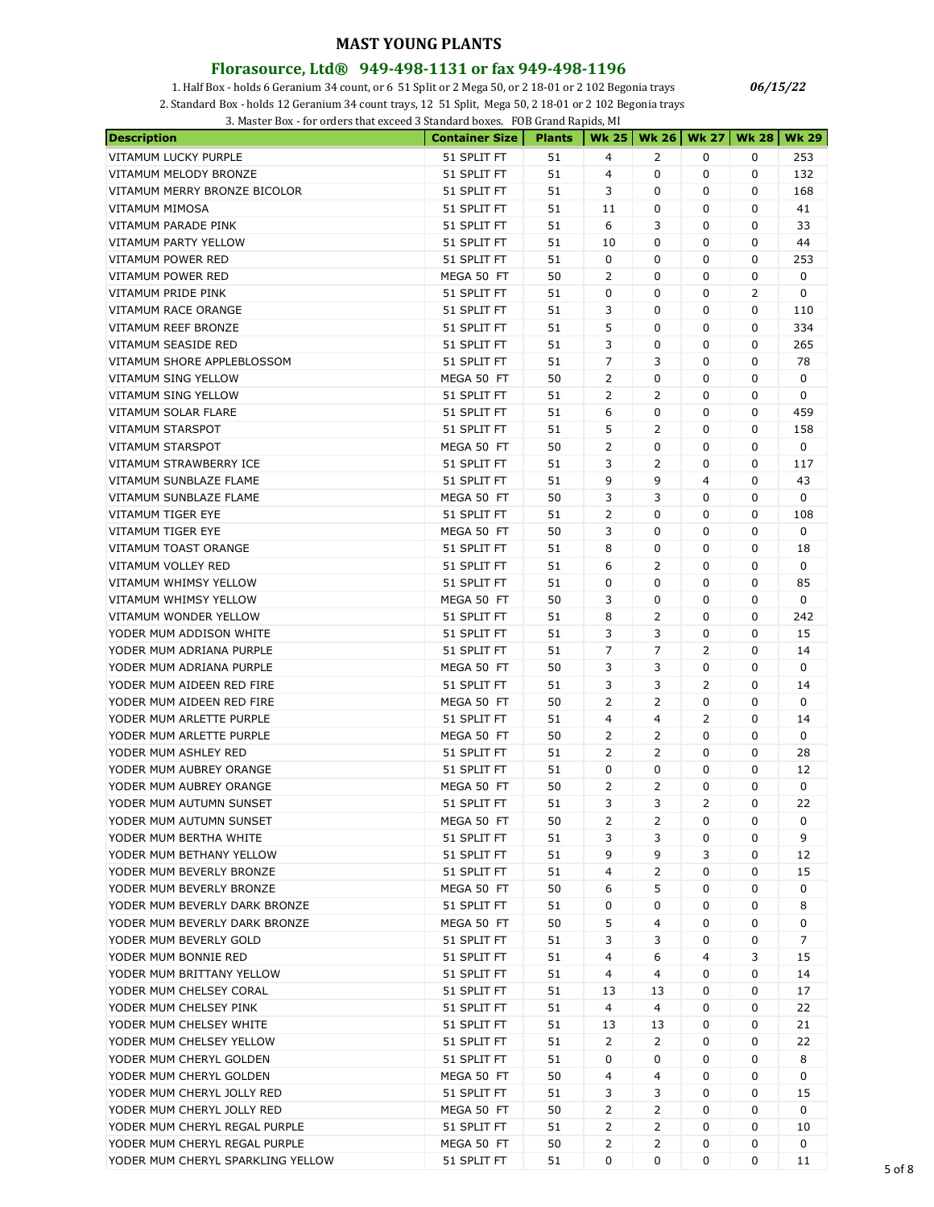#### **Florasource, Ltd® 949-498-1131 or fax 949-498-1196**

1. Half Box - holds 6 Geranium 34 count, or 6 51 Split or 2 Mega 50, or 2 18-01 or 2 102 Begonia trays

2. Standard Box - holds 12 Geranium 34 count trays, 12 51 Split, Mega 50, 2 18-01 or 2 102 Begonia trays

3. Master Box - for orders that exceed 3 Standard boxes. FOB Grand Rapids, MI

| <b>Description</b>                | <b>Container Size</b> | <b>Plants</b> |                | Wk 25   Wk 26 | <b>Wk 27</b>        | <b>Wk 28</b> | <b>Wk 29</b> |
|-----------------------------------|-----------------------|---------------|----------------|---------------|---------------------|--------------|--------------|
| VITAMUM LUCKY PURPLE              | 51 SPLIT FT           | 51            | 4              | 2             | 0                   | 0            | 253          |
| VITAMUM MELODY BRONZE             | 51 SPLIT FT           | 51            | 4              | 0             | 0                   | 0            | 132          |
| VITAMUM MERRY BRONZE BICOLOR      | 51 SPLIT FT           | 51            | 3              | 0             | 0                   | 0            | 168          |
| VITAMUM MIMOSA                    | 51 SPLIT FT           | 51            | 11             | 0             | 0                   | 0            | 41           |
| <b>VITAMUM PARADE PINK</b>        | 51 SPLIT FT           | 51            | 6              | 3             | 0                   | 0            | 33           |
| VITAMUM PARTY YELLOW              | 51 SPLIT FT           | 51            | 10             | 0             | 0                   | 0            | 44           |
| VITAMUM POWER RED                 | 51 SPLIT FT           | 51            | 0              | 0             | 0                   | 0            | 253          |
| VITAMUM POWER RED                 | MEGA 50 FT            | 50            | 2              | 0             | 0                   | 0            | 0            |
| VITAMUM PRIDE PINK                | 51 SPLIT FT           | 51            | 0              | 0             | 0                   | 2            | 0            |
| VITAMUM RACE ORANGE               | 51 SPLIT FT           | 51            | 3              | 0             | 0                   | 0            | 110          |
| VITAMUM REEF BRONZE               | 51 SPLIT FT           | 51            | 5              | 0             | 0                   | 0            | 334          |
| VITAMUM SEASIDE RED               | 51 SPLIT FT           | 51            | 3              | 0             | 0                   | 0            | 265          |
| VITAMUM SHORE APPLEBLOSSOM        | 51 SPLIT FT           | 51            | $\overline{7}$ | 3             | 0                   | 0            | 78           |
| VITAMUM SING YELLOW               | MEGA 50 FT            | 50            | 2              | 0             | 0                   | 0            | 0            |
| VITAMUM SING YELLOW               | 51 SPLIT FT           | 51            | 2              | 2             | 0                   | 0            | 0            |
| VITAMUM SOLAR FLARE               | 51 SPLIT FT           | 51            | 6              | 0             | 0                   | 0            | 459          |
| <b>VITAMUM STARSPOT</b>           | 51 SPLIT FT           | 51            | 5              | 2             | 0                   | 0            | 158          |
| <b>VITAMUM STARSPOT</b>           | MEGA 50 FT            | 50            | 2              | 0             | 0                   | 0            | 0            |
| VITAMUM STRAWBERRY ICE            | 51 SPLIT FT           |               |                | 2             |                     |              |              |
|                                   |                       | 51            | 3              | 9             | 0<br>$\overline{4}$ | 0            | 117          |
| VITAMUM SUNBLAZE FLAME            | 51 SPLIT FT           | 51            | 9              |               |                     | 0            | 43           |
| VITAMUM SUNBLAZE FLAME            | MEGA 50 FT            | 50            | 3              | 3             | 0                   | 0            | 0            |
| VITAMUM TIGER EYE                 | 51 SPLIT FT           | 51            | 2              | 0             | 0                   | 0            | 108          |
| VITAMUM TIGER EYE                 | MEGA 50 FT            | 50            | 3              | 0             | 0                   | 0            | 0            |
| VITAMUM TOAST ORANGE              | 51 SPLIT FT           | 51            | 8              | 0             | 0                   | 0            | 18           |
| VITAMUM VOLLEY RED                | 51 SPLIT FT           | 51            | 6              | 2             | 0                   | 0            | 0            |
| VITAMUM WHIMSY YELLOW             | 51 SPLIT FT           | 51            | 0              | 0             | 0                   | 0            | 85           |
| VITAMUM WHIMSY YELLOW             | MEGA 50 FT            | 50            | 3              | 0             | 0                   | 0            | 0            |
| VITAMUM WONDER YELLOW             | 51 SPLIT FT           | 51            | 8              | 2             | 0                   | 0            | 242          |
| YODER MUM ADDISON WHITE           | 51 SPLIT FT           | 51            | 3              | 3             | 0                   | 0            | 15           |
| YODER MUM ADRIANA PURPLE          | 51 SPLIT FT           | 51            | 7              | 7             | 2                   | 0            | 14           |
| YODER MUM ADRIANA PURPLE          | MEGA 50 FT            | 50            | 3              | 3             | 0                   | 0            | 0            |
| YODER MUM AIDEEN RED FIRE         | 51 SPLIT FT           | 51            | 3              | 3             | 2                   | 0            | 14           |
| YODER MUM AIDEEN RED FIRE         | MEGA 50 FT            | 50            | 2              | 2             | 0                   | 0            | 0            |
| YODER MUM ARLETTE PURPLE          | 51 SPLIT FT           | 51            | 4              | 4             | 2                   | 0            | 14           |
| YODER MUM ARLETTE PURPLE          | MEGA 50 FT            | 50            | 2              | 2             | 0                   | 0            | 0            |
| YODER MUM ASHLEY RED              | 51 SPLIT FT           | 51            | 2              | 2             | 0                   | 0            | 28           |
| YODER MUM AUBREY ORANGE           | 51 SPLIT FT           | 51            | 0              | 0             | 0                   | 0            | 12           |
| YODER MUM AUBREY ORANGE           | MEGA 50 FT            | 50            | 2              | 2             | 0                   | 0            | 0            |
| YODER MUM AUTUMN SUNSET           | 51 SPLIT FT           | 51            | 3              | 3             | 2                   | 0            | 22           |
| YODER MUM AUTUMN SUNSET           | MEGA 50 FT            | 50            | 2              | 2             | 0                   | 0            | 0            |
| YODER MUM BERTHA WHITE            | 51 SPLIT FT           | 51            | 3              | 3             | 0                   | 0            | 9            |
| YODER MUM BETHANY YELLOW          | 51 SPLIT FT           | 51            | 9              | 9             | 3                   | 0            | 12           |
| YODER MUM BEVERLY BRONZE          | 51 SPLIT FT           | 51            | 4              | 2             | 0                   | 0            | 15           |
| YODER MUM BEVERLY BRONZE          | MEGA 50 FT            | 50            | 6              | 5             | 0                   | 0            | 0            |
| YODER MUM BEVERLY DARK BRONZE     | 51 SPLIT FT           | 51            | 0              | 0             | 0                   | 0            | 8            |
| YODER MUM BEVERLY DARK BRONZE     | MEGA 50 FT            | 50            | 5              | 4             | 0                   | 0            | 0            |
| YODER MUM BEVERLY GOLD            | 51 SPLIT FT           | 51            | 3              | 3             | 0                   | 0            | 7            |
| YODER MUM BONNIE RED              | 51 SPLIT FT           | 51            | 4              | 6             | 4                   | 3            | 15           |
| YODER MUM BRITTANY YELLOW         | 51 SPLIT FT           | 51            | 4              | 4             | 0                   | 0            | 14           |
| YODER MUM CHELSEY CORAL           | 51 SPLIT FT           | 51            | 13             | 13            | 0                   | 0            | 17           |
| YODER MUM CHELSEY PINK            | 51 SPLIT FT           | 51            | 4              | 4             | 0                   | 0            | 22           |
| YODER MUM CHELSEY WHITE           | 51 SPLIT FT           | 51            | 13             | 13            | 0                   | 0            | 21           |
| YODER MUM CHELSEY YELLOW          | 51 SPLIT FT           | 51            | 2              | 2             | 0                   | 0            | 22           |
| YODER MUM CHERYL GOLDEN           | 51 SPLIT FT           | 51            | 0              | 0             | 0                   | 0            | 8            |
| YODER MUM CHERYL GOLDEN           | MEGA 50 FT            | 50            | 4              | 4             | 0                   | 0            | 0            |
| YODER MUM CHERYL JOLLY RED        | 51 SPLIT FT           | 51            | 3              | 3             | 0                   | 0            | 15           |
|                                   |                       |               |                |               | 0                   | 0            | 0            |
| YODER MUM CHERYL JOLLY RED        | MEGA 50 FT            | 50            | 2              | 2             |                     |              |              |
| YODER MUM CHERYL REGAL PURPLE     | 51 SPLIT FT           | 51            | 2              | 2             | 0                   | 0            | 10           |
| YODER MUM CHERYL REGAL PURPLE     | MEGA 50 FT            | 50            | 2              | 2             | 0                   | 0            | 0            |
| YODER MUM CHERYL SPARKLING YELLOW | 51 SPLIT FT           | 51            | 0              | 0             | 0                   | 0            | 11           |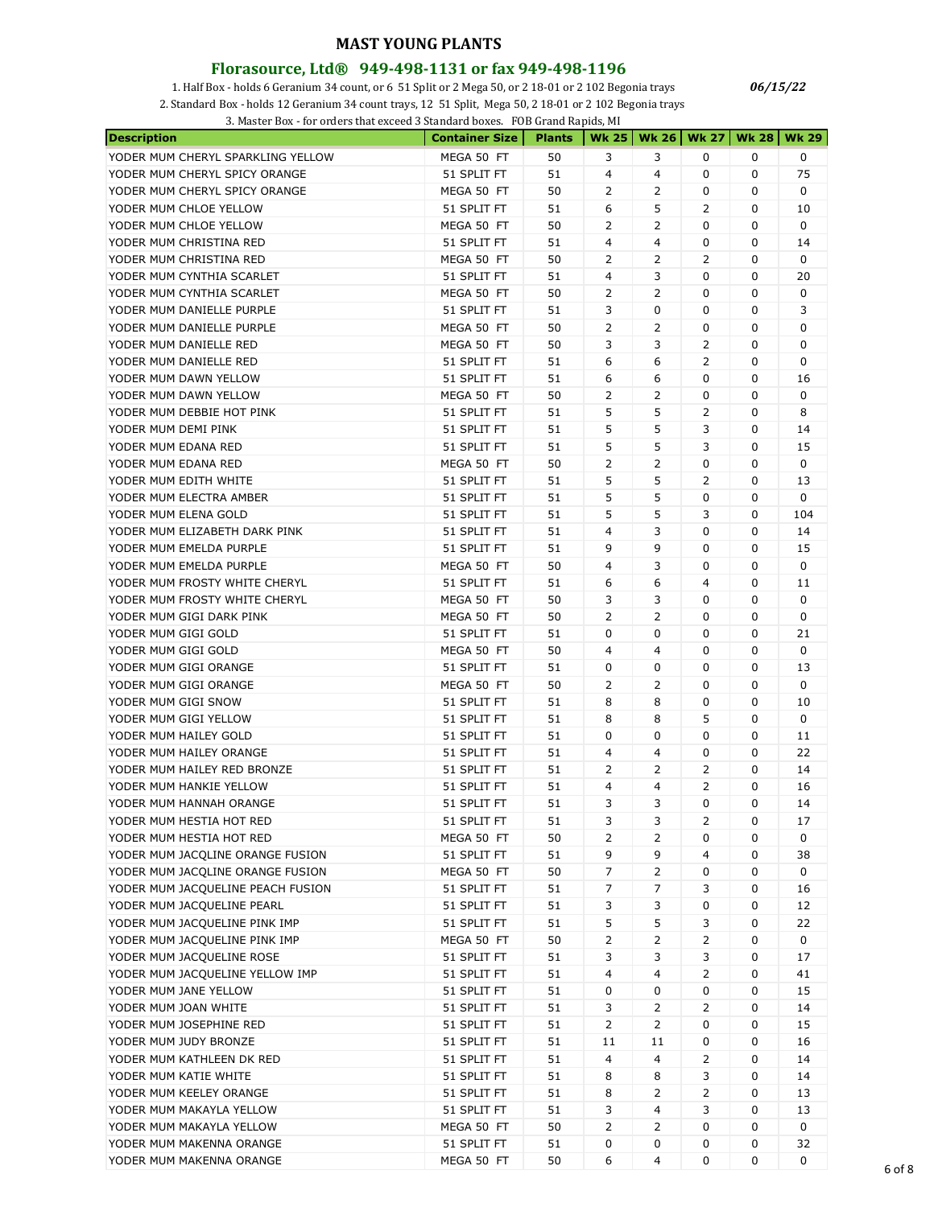#### **Florasource, Ltd® 949-498-1131 or fax 949-498-1196**

1. Half Box - holds 6 Geranium 34 count, or 6 51 Split or 2 Mega 50, or 2 18-01 or 2 102 Begonia trays

2. Standard Box - holds 12 Geranium 34 count trays, 12 51 Split, Mega 50, 2 18-01 or 2 102 Begonia trays

3. Master Box - for orders that exceed 3 Standard boxes. FOB Grand Rapids, MI

| <b>Description</b>                | <b>Container Size</b>      | <b>Plants</b> | <b>Wk 25</b>   | <b>Wk 26</b>   | <b>Wk 27</b>        | Wk 28 | <b>Wk 29</b> |
|-----------------------------------|----------------------------|---------------|----------------|----------------|---------------------|-------|--------------|
| YODER MUM CHERYL SPARKLING YELLOW | MEGA 50 FT                 | 50            | 3              | 3              | 0                   | 0     | 0            |
| YODER MUM CHERYL SPICY ORANGE     | 51 SPLIT FT                | 51            | 4              | $\overline{4}$ | 0                   | 0     | 75           |
| YODER MUM CHERYL SPICY ORANGE     | MEGA 50 FT                 | 50            | 2              | 2              | 0                   | 0     | 0            |
| YODER MUM CHLOE YELLOW            | 51 SPLIT FT                | 51            | 6              | 5              | 2                   | 0     | 10           |
| YODER MUM CHLOE YELLOW            | MEGA 50 FT                 | 50            | 2              | $\overline{2}$ | 0                   | 0     | 0            |
| YODER MUM CHRISTINA RED           | 51 SPLIT FT                | 51            | 4              | $\overline{4}$ | 0                   | 0     | 14           |
| YODER MUM CHRISTINA RED           | MEGA 50 FT                 | 50            | 2              | 2              | 2                   | 0     | 0            |
| YODER MUM CYNTHIA SCARLET         | 51 SPLIT FT                | 51            | 4              | 3              | 0                   | 0     | 20           |
| YODER MUM CYNTHIA SCARLET         | MEGA 50 FT                 | 50            | 2              | 2              | 0                   | 0     | 0            |
| YODER MUM DANIELLE PURPLE         | 51 SPLIT FT                | 51            | 3              | 0              | 0                   | 0     | 3            |
| YODER MUM DANIELLE PURPLE         | MEGA 50 FT                 | 50            | 2              | 2              | 0                   | 0     | 0            |
| YODER MUM DANIELLE RED            | MEGA 50 FT                 | 50            | 3              | 3              | 2                   | 0     | 0            |
| YODER MUM DANIELLE RED            | 51 SPLIT FT                | 51            | 6              | 6              | 2                   | 0     | 0            |
| YODER MUM DAWN YELLOW             | 51 SPLIT FT                | 51            | 6              | 6              | 0                   | 0     | 16           |
| YODER MUM DAWN YELLOW             | MEGA 50 FT                 | 50            | 2              | 2              | 0                   | 0     | 0            |
| YODER MUM DEBBIE HOT PINK         | 51 SPLIT FT                | 51            | 5              | 5              | 2                   | 0     | 8            |
| YODER MUM DEMI PINK               | 51 SPLIT FT                | 51            | 5              | 5              | 3                   | 0     | 14           |
| YODER MUM EDANA RED               | 51 SPLIT FT                | 51            | 5              | 5              | 3                   | 0     | 15           |
| YODER MUM EDANA RED               | MEGA 50 FT                 | 50            | 2              | 2              | 0                   | 0     | 0            |
| YODER MUM EDITH WHITE             | 51 SPLIT FT                | 51            | 5              | 5              | 2                   | 0     | 13           |
| YODER MUM ELECTRA AMBER           | 51 SPLIT FT                | 51            | 5              | 5              | 0                   | 0     | 0            |
| YODER MUM ELENA GOLD              | 51 SPLIT FT                | 51            | 5              | 5              | 3                   | 0     | 104          |
| YODER MUM ELIZABETH DARK PINK     | 51 SPLIT FT                | 51            | 4              | 3              | 0                   | 0     | 14           |
| YODER MUM EMELDA PURPLE           | 51 SPLIT FT                | 51            | 9              | 9              | 0                   | 0     | 15           |
| YODER MUM EMELDA PURPLE           | MEGA 50 FT                 | 50            | 4              | 3              | 0                   | 0     | 0            |
| YODER MUM FROSTY WHITE CHERYL     | 51 SPLIT FT                | 51            | 6              | 6              | 4                   | 0     | 11           |
| YODER MUM FROSTY WHITE CHERYL     | MEGA 50 FT                 | 50            | 3              | 3              | 0                   | 0     | 0            |
| YODER MUM GIGI DARK PINK          | MEGA 50 FT                 | 50            | 2              | 2              | 0                   | 0     | 0            |
| YODER MUM GIGI GOLD               | 51 SPLIT FT                | 51            | 0              | 0              | 0                   | 0     | 21           |
| YODER MUM GIGI GOLD               | MEGA 50 FT                 | 50            | 4              | 4              | 0                   | 0     | 0            |
| YODER MUM GIGI ORANGE             | 51 SPLIT FT                | 51            | 0              | 0              | 0                   | 0     | 13           |
| YODER MUM GIGI ORANGE             | MEGA 50 FT                 | 50            | 2              | 2              | 0                   | 0     | 0            |
| YODER MUM GIGI SNOW               | 51 SPLIT FT                | 51            | 8              | 8              | 0                   | 0     | 10           |
| YODER MUM GIGI YELLOW             | 51 SPLIT FT                | 51            | 8              | 8              | 5                   | 0     | 0            |
| YODER MUM HAILEY GOLD             | 51 SPLIT FT                | 51            | 0              | 0              | 0                   | 0     | 11           |
| YODER MUM HAILEY ORANGE           | 51 SPLIT FT                | 51            | 4              | 4              | 0                   | 0     | 22           |
| YODER MUM HAILEY RED BRONZE       | 51 SPLIT FT                | 51            | 2              | 2              | 2                   | 0     | 14           |
| YODER MUM HANKIE YELLOW           | 51 SPLIT FT                | 51            | 4              | 4              | 2                   | 0     | 16           |
| YODER MUM HANNAH ORANGE           | 51 SPLIT FT                | 51            | 3              | 3              | 0                   | 0     | 14           |
| YODER MUM HESTIA HOT RED          | 51 SPLIT FT                | 51            | 3              | 3              | 2                   | 0     | 17           |
| YODER MUM HESTIA HOT RED          | MEGA 50 FT                 | 50            | 2              | $\overline{2}$ | 0                   | 0     | 0            |
| YODER MUM JACQLINE ORANGE FUSION  | 51 SPLIT FT                | 51            | 9              | 9              | $\overline{4}$      | 0     | 38           |
| YODER MUM JACQLINE ORANGE FUSION  | MEGA 50 FT                 | 50            | $\overline{7}$ | $\overline{2}$ | 0                   | 0     | 0            |
| YODER MUM JACQUELINE PEACH FUSION | 51 SPLIT FT                | 51            | 7              | 7              | 3                   | 0     |              |
| YODER MUM JACQUELINE PEARL        |                            | 51            | 3              | 3              | 0                   | 0     | 16<br>12     |
| YODER MUM JACQUELINE PINK IMP     | 51 SPLIT FT<br>51 SPLIT FT | 51            | 5              | 5              | 3                   | 0     | 22           |
| YODER MUM JACQUELINE PINK IMP     |                            | 50            | 2              | $\overline{2}$ | 2                   | 0     | 0            |
|                                   | MEGA 50 FT                 |               |                | 3              |                     | 0     | 17           |
| YODER MUM JACQUELINE ROSE         | 51 SPLIT FT<br>51 SPLIT FT | 51<br>51      | 3<br>4         | 4              | 3<br>$\overline{2}$ | 0     | 41           |
| YODER MUM JACQUELINE YELLOW IMP   |                            |               |                |                |                     |       |              |
| YODER MUM JANE YELLOW             | 51 SPLIT FT                | 51            | 0              | 0              | 0                   | 0     | 15           |
| YODER MUM JOAN WHITE              | 51 SPLIT FT                | 51            | 3              | $\overline{2}$ | $\overline{2}$      | 0     | 14           |
| YODER MUM JOSEPHINE RED           | 51 SPLIT FT                | 51            | $\overline{2}$ | $\overline{2}$ | 0                   | 0     | 15           |
| YODER MUM JUDY BRONZE             | 51 SPLIT FT                | 51            | 11             | 11             | 0                   | 0     | 16           |
| YODER MUM KATHLEEN DK RED         | 51 SPLIT FT                | 51            | 4              | 4              | $\overline{2}$      | 0     | 14           |
| YODER MUM KATIE WHITE             | 51 SPLIT FT                | 51            | 8              | 8              | 3                   | 0     | 14           |
| YODER MUM KEELEY ORANGE           | 51 SPLIT FT                | 51            | 8              | $\overline{2}$ | $\overline{2}$      | 0     | 13           |
| YODER MUM MAKAYLA YELLOW          | 51 SPLIT FT                | 51            | 3              | 4              | 3                   | 0     | 13           |
| YODER MUM MAKAYLA YELLOW          | MEGA 50 FT                 | 50            | $\overline{2}$ | 2              | 0                   | 0     | 0            |
| YODER MUM MAKENNA ORANGE          | 51 SPLIT FT                | 51            | 0              | 0              | 0                   | 0     | 32           |
| YODER MUM MAKENNA ORANGE          | MEGA 50 FT                 | 50            | 6              | 4              | 0                   | 0     | 0            |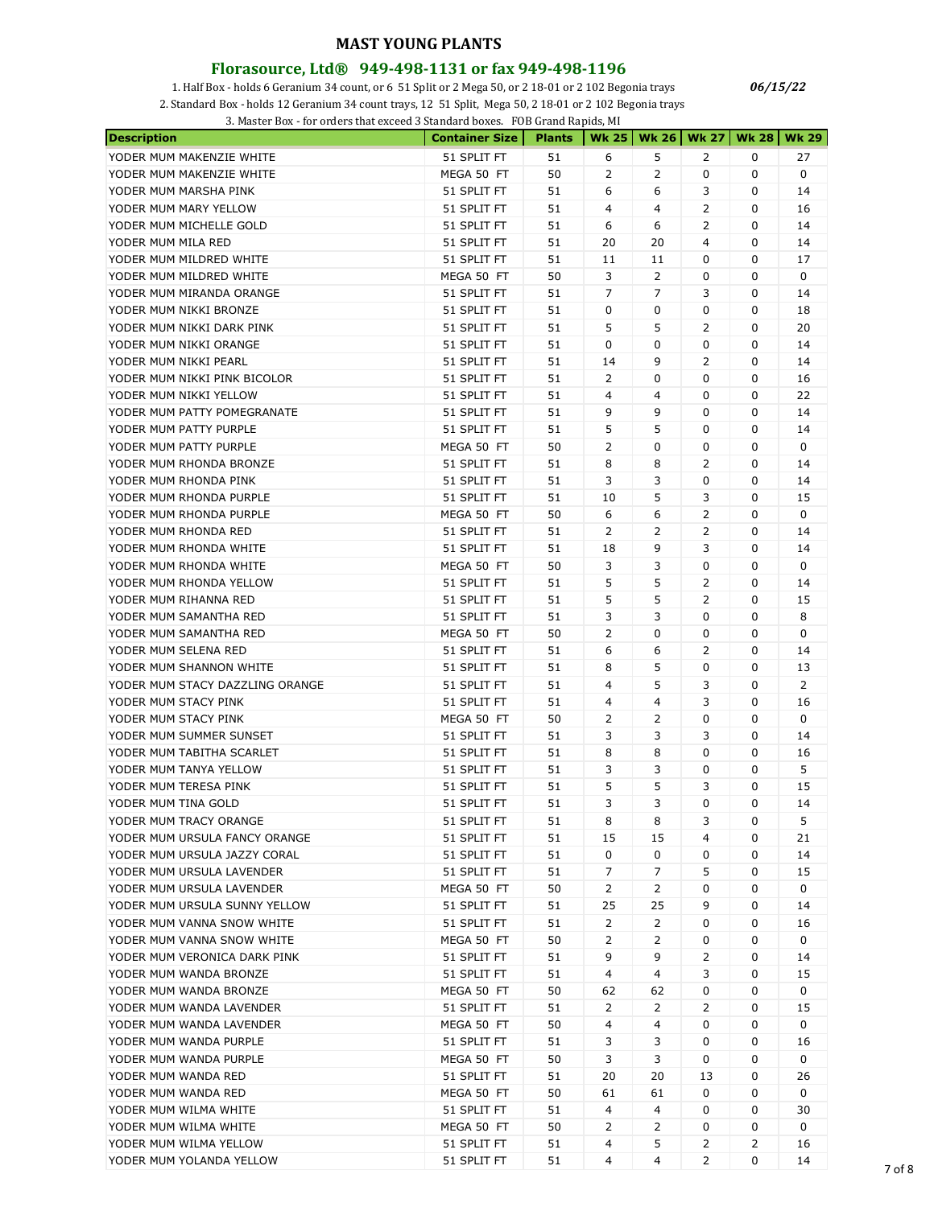#### **Florasource, Ltd® 949-498-1131 or fax 949-498-1196**

1. Half Box - holds 6 Geranium 34 count, or 6 51 Split or 2 Mega 50, or 2 18-01 or 2 102 Begonia trays

2. Standard Box - holds 12 Geranium 34 count trays, 12 51 Split, Mega 50, 2 18-01 or 2 102 Begonia trays

3. Master Box - for orders that exceed 3 Standard boxes. FOB Grand Rapids, MI

| <b>Description</b>              | <b>Container Size</b> | <b>Plants</b> |                |                | Wk 25   Wk 26   Wk 27 | <b>Wk 28</b> | <b>Wk 29</b>   |
|---------------------------------|-----------------------|---------------|----------------|----------------|-----------------------|--------------|----------------|
| YODER MUM MAKENZIE WHITE        | 51 SPLIT FT           | 51            | 6              | 5              | 2                     | 0            | 27             |
| YODER MUM MAKENZIE WHITE        | MEGA 50 FT            | 50            | 2              | 2              | 0                     | 0            | 0              |
| YODER MUM MARSHA PINK           | 51 SPLIT FT           | 51            | 6              | 6              | 3                     | 0            | 14             |
| YODER MUM MARY YELLOW           | 51 SPLIT FT           | 51            | 4              | 4              | 2                     | 0            | 16             |
| YODER MUM MICHELLE GOLD         | 51 SPLIT FT           | 51            | 6              | 6              | 2                     | 0            | 14             |
| YODER MUM MILA RED              | 51 SPLIT FT           | 51            | 20             | 20             | $\overline{4}$        | 0            | 14             |
| YODER MUM MILDRED WHITE         | 51 SPLIT FT           | 51            | 11             | 11             | 0                     | 0            | 17             |
| YODER MUM MILDRED WHITE         | MEGA 50 FT            | 50            | 3              | 2              | 0                     | 0            | 0              |
| YODER MUM MIRANDA ORANGE        | 51 SPLIT FT           | 51            | 7              | 7              | 3                     | 0            | 14             |
| YODER MUM NIKKI BRONZE          | 51 SPLIT FT           | 51            | 0              | 0              | 0                     | 0            | 18             |
| YODER MUM NIKKI DARK PINK       | 51 SPLIT FT           | 51            | 5              | 5              | 2                     | 0            | 20             |
| YODER MUM NIKKI ORANGE          | 51 SPLIT FT           | 51            | 0              | 0              | 0                     | 0            | 14             |
| YODER MUM NIKKI PEARL           | 51 SPLIT FT           | 51            | 14             | 9              | 2                     | 0            | 14             |
| YODER MUM NIKKI PINK BICOLOR    | 51 SPLIT FT           | 51            | 2              | 0              | 0                     | 0            | 16             |
| YODER MUM NIKKI YELLOW          | 51 SPLIT FT           | 51            | 4              | 4              | 0                     | 0            | 22             |
| YODER MUM PATTY POMEGRANATE     | 51 SPLIT FT           | 51            | 9              | 9              | 0                     | 0            | 14             |
| YODER MUM PATTY PURPLE          |                       | 51            | 5              | 5              | 0                     |              | 14             |
|                                 | 51 SPLIT FT           |               | 2              | 0              |                       | 0<br>0       | 0              |
| YODER MUM PATTY PURPLE          | MEGA 50 FT            | 50<br>51      | 8              |                | 0<br>2                | 0            |                |
| YODER MUM RHONDA BRONZE         | 51 SPLIT FT           |               |                | 8              |                       |              | 14             |
| YODER MUM RHONDA PINK           | 51 SPLIT FT           | 51            | 3              | 3              | 0                     | 0            | 14             |
| YODER MUM RHONDA PURPLE         | 51 SPLIT FT           | 51            | 10             | 5              | 3                     | 0            | 15             |
| YODER MUM RHONDA PURPLE         | MEGA 50 FT            | 50            | 6              | 6              | 2                     | 0            | 0              |
| YODER MUM RHONDA RED            | 51 SPLIT FT           | 51            | 2              | 2              | 2                     | 0            | 14             |
| YODER MUM RHONDA WHITE          | 51 SPLIT FT           | 51            | 18             | 9              | 3                     | 0            | 14             |
| YODER MUM RHONDA WHITE          | MEGA 50 FT            | 50            | 3              | 3              | 0                     | 0            | 0              |
| YODER MUM RHONDA YELLOW         | 51 SPLIT FT           | 51            | 5              | 5              | 2                     | 0            | 14             |
| YODER MUM RIHANNA RED           | 51 SPLIT FT           | 51            | 5              | 5              | 2                     | 0            | 15             |
| YODER MUM SAMANTHA RED          | 51 SPLIT FT           | 51            | 3              | 3              | 0                     | 0            | 8              |
| YODER MUM SAMANTHA RED          | MEGA 50 FT            | 50            | 2              | 0              | 0                     | 0            | 0              |
| YODER MUM SELENA RED            | 51 SPLIT FT           | 51            | 6              | 6              | 2                     | 0            | 14             |
| YODER MUM SHANNON WHITE         | 51 SPLIT FT           | 51            | 8              | 5              | 0                     | 0            | 13             |
| YODER MUM STACY DAZZLING ORANGE | 51 SPLIT FT           | 51            | 4              | 5              | 3                     | 0            | $\overline{2}$ |
| YODER MUM STACY PINK            | 51 SPLIT FT           | 51            | 4              | 4              | 3                     | 0            | 16             |
| YODER MUM STACY PINK            | MEGA 50 FT            | 50            | 2              | 2              | 0                     | 0            | 0              |
| YODER MUM SUMMER SUNSET         | 51 SPLIT FT           | 51            | 3              | 3              | 3                     | 0            | 14             |
| YODER MUM TABITHA SCARLET       | 51 SPLIT FT           | 51            | 8              | 8              | 0                     | 0            | 16             |
| YODER MUM TANYA YELLOW          | 51 SPLIT FT           | 51            | 3              | 3              | 0                     | 0            | 5              |
| YODER MUM TERESA PINK           | 51 SPLIT FT           | 51            | 5              | 5              | 3                     | 0            | 15             |
| YODER MUM TINA GOLD             | 51 SPLIT FT           | 51            | 3              | 3              | $\Omega$              | 0            | 14             |
| YODER MUM TRACY ORANGE          | 51 SPLIT FT           | 51            | 8              | 8              | 3                     | 0            | 5              |
| YODER MUM URSULA FANCY ORANGE   | 51 SPLIT FT           | 51            | 15             | 15             | 4                     | 0            | 21             |
| YODER MUM URSULA JAZZY CORAL    | 51 SPLIT FT           | 51            | 0              | 0              | 0                     | 0            | 14             |
| YODER MUM URSULA LAVENDER       | 51 SPLIT FT           | 51            | 7              | 7              | 5                     | 0            | 15             |
| YODER MUM URSULA LAVENDER       | MEGA 50 FT            | 50            | 2              | 2              | 0                     | 0            | 0              |
| YODER MUM URSULA SUNNY YELLOW   | 51 SPLIT FT           | 51            | 25             | 25             | 9                     | 0            | 14             |
| YODER MUM VANNA SNOW WHITE      | 51 SPLIT FT           | 51            | $\overline{2}$ | 2              | 0                     | 0            | 16             |
| YODER MUM VANNA SNOW WHITE      | MEGA 50 FT            | 50            | 2              | 2              | 0                     | 0            | 0              |
| YODER MUM VERONICA DARK PINK    | 51 SPLIT FT           | 51            | 9              | 9              | 2                     | 0            | 14             |
| YODER MUM WANDA BRONZE          | 51 SPLIT FT           | 51            | 4              | 4              | 3                     | 0            | 15             |
| YODER MUM WANDA BRONZE          | MEGA 50 FT            | 50            | 62             | 62             | 0                     | 0            | 0              |
| YODER MUM WANDA LAVENDER        | 51 SPLIT FT           | 51            | 2              | 2              | 2                     | 0            | 15             |
| YODER MUM WANDA LAVENDER        | MEGA 50 FT            | 50            | 4              | 4              | 0                     | 0            | 0              |
| YODER MUM WANDA PURPLE          | 51 SPLIT FT           | 51            | 3              | 3              | 0                     | 0            | 16             |
|                                 |                       |               |                |                |                       |              | 0              |
| YODER MUM WANDA PURPLE          | MEGA 50 FT            | 50            | 3              | 3              | 0                     | 0            |                |
| YODER MUM WANDA RED             | 51 SPLIT FT           | 51            | 20             | 20             | 13                    | 0            | 26             |
| YODER MUM WANDA RED             | MEGA 50 FT            | 50            | 61             | 61             | 0                     | 0            | 0              |
| YODER MUM WILMA WHITE           | 51 SPLIT FT           | 51            | 4              | 4              | 0                     | 0            | 30             |
| YODER MUM WILMA WHITE           | MEGA 50 FT            | 50            | 2              | 2              | 0                     | 0            | 0              |
| YODER MUM WILMA YELLOW          | 51 SPLIT FT           | 51            | 4              | 5              | 2                     | 2            | 16             |
| YODER MUM YOLANDA YELLOW        | 51 SPLIT FT           | 51            | 4              | $\overline{4}$ | 2                     | 0            | 14             |